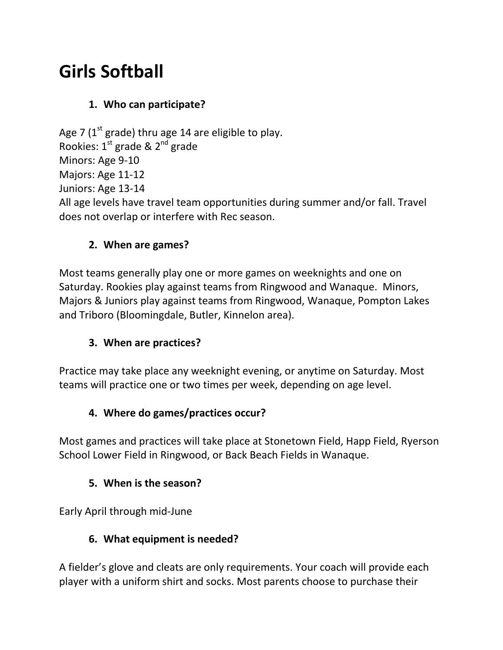# **Girls Softball**

## **1. Who can participate?**

Age 7 ( $1<sup>st</sup>$  grade) thru age 14 are eligible to play. Rookies:  $1^{st}$  grade &  $2^{nd}$  grade Minors: Age 9-10 Majors: Age 11-12 Juniors: Age 13-14 All age levels have travel team opportunities during summer and/or fall. Travel does not overlap or interfere with Rec season.

#### **2. When are games?**

Most teams generally play one or more games on weeknights and one on Saturday. Rookies play against teams from Ringwood and Wanaque. Minors, Majors & Juniors play against teams from Ringwood, Wanaque, Pompton Lakes and Triboro (Bloomingdale, Butler, Kinnelon area).

## **3. When are practices?**

Practice may take place any weeknight evening, or anytime on Saturday. Most teams will practice one or two times per week, depending on age level.

## **4. Where do games/practices occur?**

Most games and practices will take place at Stonetown Field, Happ Field, Ryerson School Lower Field in Ringwood, or Back Beach Fields in Wanaque.

#### **5. When is the season?**

Early April through mid-June

#### **6. What equipment is needed?**

A fielder's glove and cleats are only requirements. Your coach will provide each player with a uniform shirt and socks. Most parents choose to purchase their